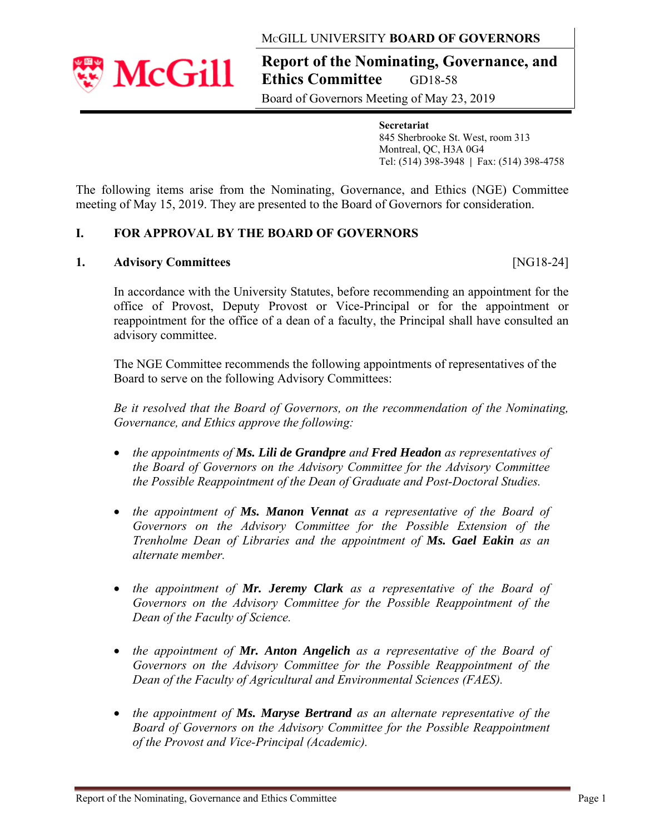## MCGILL UNIVERSITY **BOARD OF GOVERNORS**

**Report of the Nominating, Governance, and Ethics Committee GD18-58** 

Board of Governors Meeting of May 23, 2019

 **Secretariat** 845 Sherbrooke St. West, room 313 Montreal, QC, H3A 0G4 Tel: (514) 398-3948 **|** Fax: (514) 398-4758

The following items arise from the Nominating, Governance, and Ethics (NGE) Committee meeting of May 15, 2019. They are presented to the Board of Governors for consideration.

# **I. FOR APPROVAL BY THE BOARD OF GOVERNORS**

## **1. Advisory Committees** [NG18-24]

In accordance with the University Statutes, before recommending an appointment for the office of Provost, Deputy Provost or Vice-Principal or for the appointment or reappointment for the office of a dean of a faculty, the Principal shall have consulted an advisory committee.

The NGE Committee recommends the following appointments of representatives of the Board to serve on the following Advisory Committees:

*Be it resolved that the Board of Governors, on the recommendation of the Nominating, Governance, and Ethics approve the following:* 

- *the appointments of Ms. Lili de Grandpre and Fred Headon as representatives of the Board of Governors on the Advisory Committee for the Advisory Committee the Possible Reappointment of the Dean of Graduate and Post-Doctoral Studies.*
- *the appointment of Ms. Manon Vennat as a representative of the Board of Governors on the Advisory Committee for the Possible Extension of the Trenholme Dean of Libraries and the appointment of Ms. Gael Eakin as an alternate member.*
- *the appointment of Mr. Jeremy Clark as a representative of the Board of Governors on the Advisory Committee for the Possible Reappointment of the Dean of the Faculty of Science.*
- *the appointment of Mr. Anton Angelich as a representative of the Board of Governors on the Advisory Committee for the Possible Reappointment of the Dean of the Faculty of Agricultural and Environmental Sciences (FAES).*
- *the appointment of Ms. Maryse Bertrand as an alternate representative of the Board of Governors on the Advisory Committee for the Possible Reappointment of the Provost and Vice-Principal (Academic).*

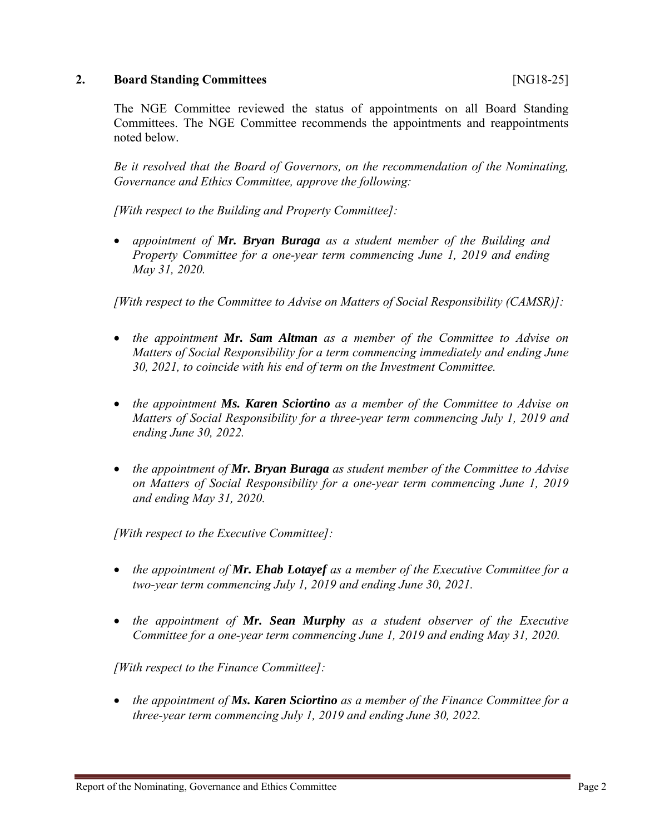### **2. Board Standing Committees** [NG18-25]

The NGE Committee reviewed the status of appointments on all Board Standing Committees. The NGE Committee recommends the appointments and reappointments noted below.

*Be it resolved that the Board of Governors, on the recommendation of the Nominating, Governance and Ethics Committee, approve the following:*

*[With respect to the Building and Property Committee]:*

 *appointment of Mr. Bryan Buraga as a student member of the Building and Property Committee for a one-year term commencing June 1, 2019 and ending May 31, 2020.*

*[With respect to the Committee to Advise on Matters of Social Responsibility (CAMSR)]:* 

- *the appointment Mr. Sam Altman as a member of the Committee to Advise on Matters of Social Responsibility for a term commencing immediately and ending June 30, 2021, to coincide with his end of term on the Investment Committee.*
- *the appointment Ms. Karen Sciortino as a member of the Committee to Advise on Matters of Social Responsibility for a three-year term commencing July 1, 2019 and ending June 30, 2022.*
- *the appointment of Mr. Bryan Buraga as student member of the Committee to Advise on Matters of Social Responsibility for a one-year term commencing June 1, 2019 and ending May 31, 2020.*

*[With respect to the Executive Committee]:* 

- *the appointment of Mr. Ehab Lotayef as a member of the Executive Committee for a two-year term commencing July 1, 2019 and ending June 30, 2021.*
- *the appointment of Mr. Sean Murphy as a student observer of the Executive Committee for a one-year term commencing June 1, 2019 and ending May 31, 2020.*

*[With respect to the Finance Committee]:* 

• *the appointment of Ms. Karen Sciortino as a member of the Finance Committee for a three-year term commencing July 1, 2019 and ending June 30, 2022.*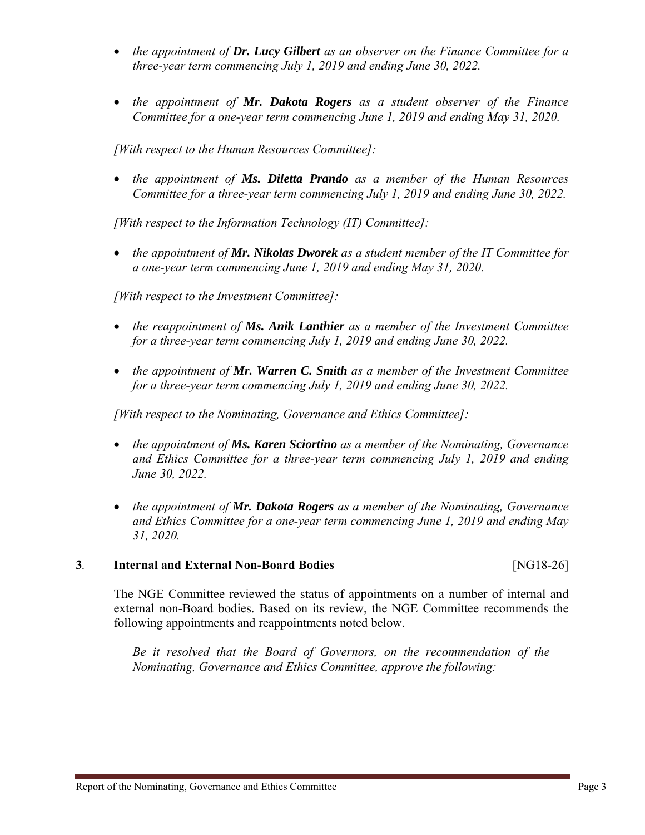- *the appointment of Dr. Lucy Gilbert as an observer on the Finance Committee for a three-year term commencing July 1, 2019 and ending June 30, 2022.*
- *the appointment of Mr. Dakota Rogers as a student observer of the Finance Committee for a one-year term commencing June 1, 2019 and ending May 31, 2020.*

*[With respect to the Human Resources Committee]:* 

 *the appointment of Ms. Diletta Prando as a member of the Human Resources Committee for a three-year term commencing July 1, 2019 and ending June 30, 2022.*

*[With respect to the Information Technology (IT) Committee]:* 

• *the appointment of Mr. Nikolas Dworek as a student member of the IT Committee for a one-year term commencing June 1, 2019 and ending May 31, 2020.*

*[With respect to the Investment Committee]:* 

- *the reappointment of Ms. Anik Lanthier as a member of the Investment Committee for a three-year term commencing July 1, 2019 and ending June 30, 2022.*
- *the appointment of Mr. Warren C. Smith as a member of the Investment Committee for a three-year term commencing July 1, 2019 and ending June 30, 2022.*

*[With respect to the Nominating, Governance and Ethics Committee]:* 

- *the appointment of Ms. Karen Sciortino as a member of the Nominating, Governance and Ethics Committee for a three-year term commencing July 1, 2019 and ending June 30, 2022.*
- *the appointment of Mr. Dakota Rogers as a member of the Nominating, Governance and Ethics Committee for a one-year term commencing June 1, 2019 and ending May 31, 2020.*

#### **3***.* **Internal and External Non-Board Bodies** [NG18-26]

The NGE Committee reviewed the status of appointments on a number of internal and external non-Board bodies. Based on its review, the NGE Committee recommends the following appointments and reappointments noted below.

*Be it resolved that the Board of Governors, on the recommendation of the Nominating, Governance and Ethics Committee, approve the following:*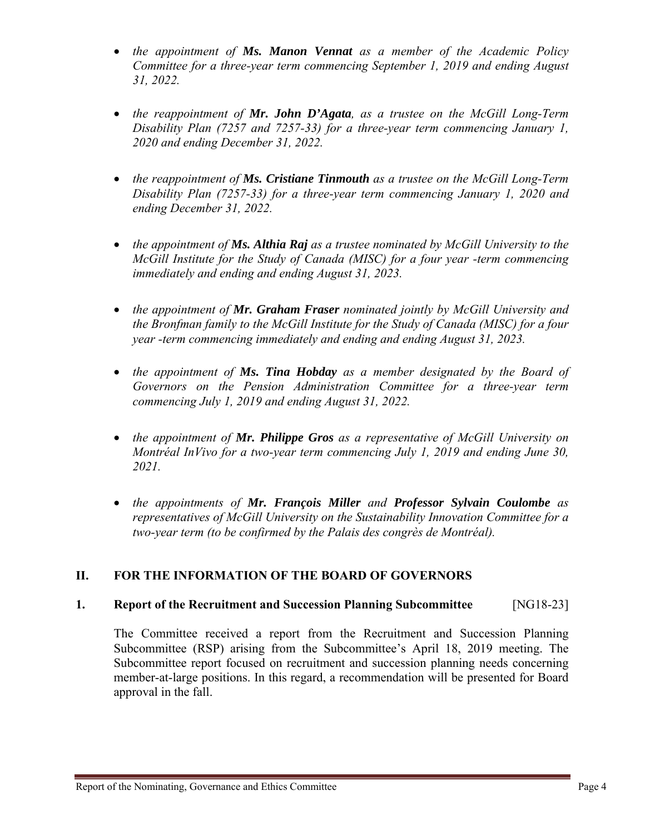- *the appointment of Ms. Manon Vennat as a member of the Academic Policy Committee for a three-year term commencing September 1, 2019 and ending August 31, 2022.*
- *the reappointment of Mr. John D'Agata, as a trustee on the McGill Long-Term Disability Plan (7257 and 7257-33) for a three-year term commencing January 1, 2020 and ending December 31, 2022.*
- *the reappointment of Ms. Cristiane Tinmouth as a trustee on the McGill Long-Term Disability Plan (7257-33) for a three-year term commencing January 1, 2020 and ending December 31, 2022.*
- *the appointment of Ms. Althia Raj as a trustee nominated by McGill University to the McGill Institute for the Study of Canada (MISC) for a four year -term commencing immediately and ending and ending August 31, 2023.*
- *the appointment of Mr. Graham Fraser nominated jointly by McGill University and the Bronfman family to the McGill Institute for the Study of Canada (MISC) for a four year -term commencing immediately and ending and ending August 31, 2023.*
- *the appointment of Ms. Tina Hobday as a member designated by the Board of Governors on the Pension Administration Committee for a three-year term commencing July 1, 2019 and ending August 31, 2022.*
- *the appointment of Mr. Philippe Gros as a representative of McGill University on Montréal InVivo for a two-year term commencing July 1, 2019 and ending June 30, 2021.*
- *the appointments of Mr. François Miller and Professor Sylvain Coulombe as representatives of McGill University on the Sustainability Innovation Committee for a two-year term (to be confirmed by the Palais des congrès de Montréal).*

# **II. FOR THE INFORMATION OF THE BOARD OF GOVERNORS**

# **1. Report of the Recruitment and Succession Planning Subcommittee** [NG18-23]

The Committee received a report from the Recruitment and Succession Planning Subcommittee (RSP) arising from the Subcommittee's April 18, 2019 meeting. The Subcommittee report focused on recruitment and succession planning needs concerning member-at-large positions. In this regard, a recommendation will be presented for Board approval in the fall.